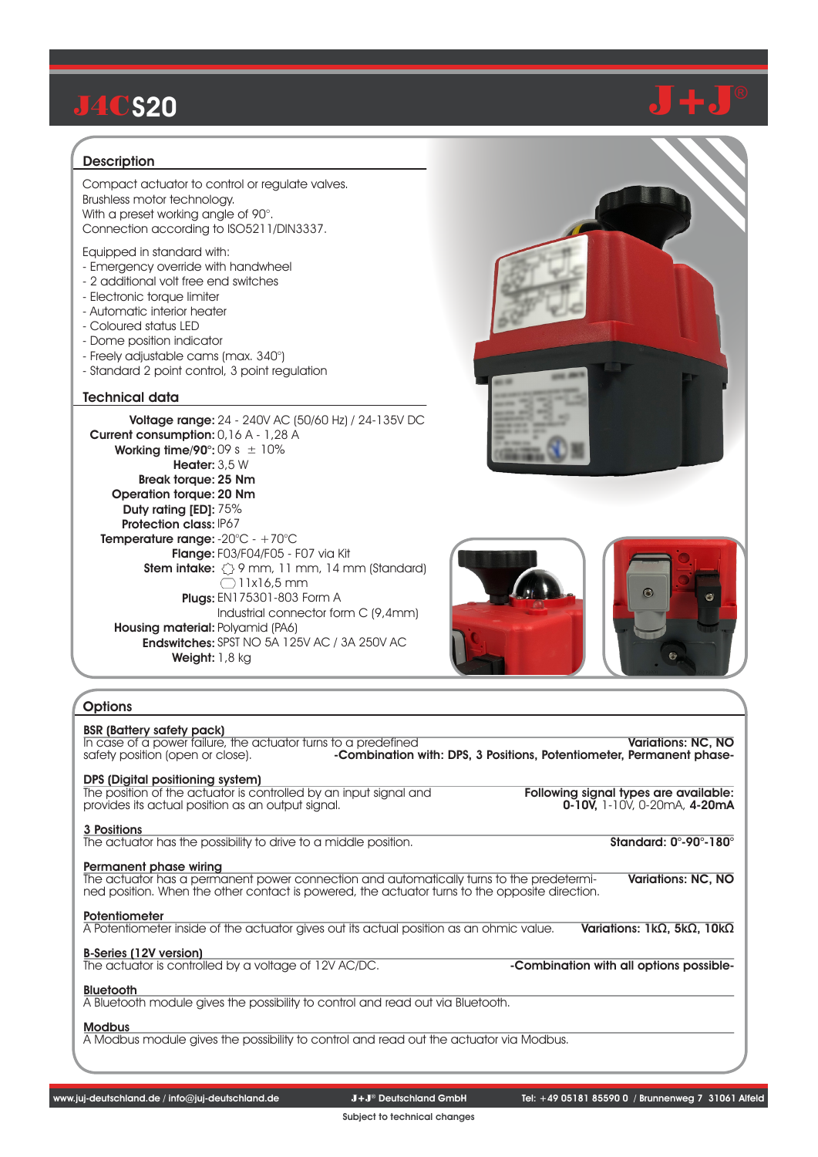### **Description**

Compact actuator to control or regulate valves. Brushless motor technology. With a preset working angle of 90°. Connection according to ISO5211/DIN3337.

Equipped in standard with:

- Emergency override with handwheel
- 2 additional volt free end switches
- Electronic torque limiter
- Automatic interior heater
- Coloured status LED
- Dome position indicator
- Freely adjustable cams (max. 340°)
- Standard 2 point control, 3 point regulation

### Technical data

**Voltage range:** 24 - 240V AC (50/60 Hz) / 24-135V DC Current consumption: 0,16 A - 1,28 A **Working time/90°:** 09 s  $\pm$  10% Heater: 3,5 W Break torque: 25 Nm Operation torque: 20 Nm Duty rating [ED]: 75% Protection class: IP67 **Temperature range:** -20°C - +70°C Flange: F03/F04/F05 - F07 via Kit Stem intake: 9 mm, 11 mm, 14 mm (Standard) Plugs: EN175301-803 Form A Housing material: Polyamid (PA6) Endswitches: SPST NO 5A 125V AC / 3A 250V AC Weight: 1,8 kg Industrial connector form C (9,4mm)  $\bigcirc$ 11x16.5 mm



### **Options**

| <b>BSR (Battery safety pack)</b><br>In case of a power failure, the actuator turns to a predefined<br>safety position (open or close).                                                                                                     | <b>Variations: NC. NO</b><br>-Combination with: DPS, 3 Positions, Potentiometer, Permanent phase- |
|--------------------------------------------------------------------------------------------------------------------------------------------------------------------------------------------------------------------------------------------|---------------------------------------------------------------------------------------------------|
| DPS (Digital positioning system)<br>The position of the actuator is controlled by an input signal and<br>provides its actual position as an output signal.                                                                                 | Following signal types are available:<br>$0-10V$ , 1-10V, 0-20mA, 4-20mA                          |
| 3 Positions<br>The actuator has the possibility to drive to a middle position.                                                                                                                                                             | Standard: $0^\circ$ -90 $^\circ$ -180 $^\circ$                                                    |
| Permanent phase wiring<br>The actuator has a permanent power connection and automatically turns to the predetermi-<br>Variations: NC. NO<br>ned position. When the other contact is powered, the actuator turns to the opposite direction. |                                                                                                   |
| <b>Potentiometer</b><br>A Potentiometer inside of the actuator gives out its actual position as an ohmic value.                                                                                                                            | Variations: $1k\Omega$ , $5k\Omega$ , $10k\Omega$                                                 |
| <b>B-Series (12V version)</b><br>The actuator is controlled by a voltage of 12V AC/DC.                                                                                                                                                     | -Combination with all options possible-                                                           |
| <b>Bluetooth</b><br>A Bluetooth module gives the possibility to control and read out via Bluetooth.                                                                                                                                        |                                                                                                   |
| <b>Modbus</b>                                                                                                                                                                                                                              |                                                                                                   |

A Modbus module gives the possibility to control and read out the actuator via Modbus.